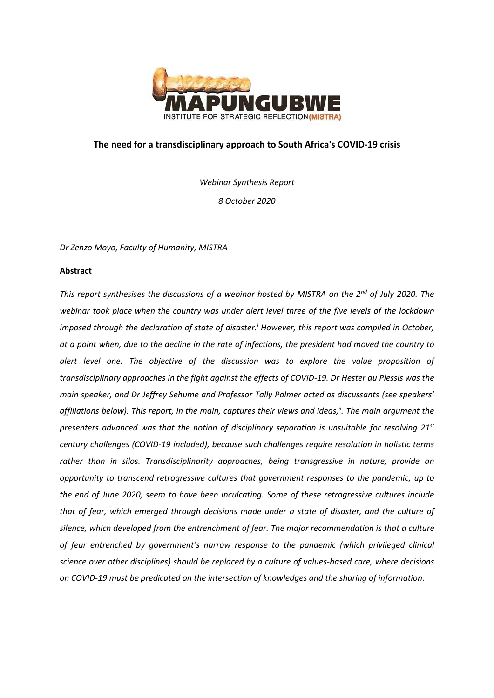

# **The need for a transdisciplinary approach to South Africa's COVID-19 crisis**

*Webinar Synthesis Report 8 October 2020*

*Dr Zenzo Moyo, Faculty of Humanity, MISTRA*

## **Abstract**

*This report synthesises the discussions of a webinar hosted by MISTRA on the 2nd of July 2020. The webinar took place when the country was under alert level three of the five levels of the lockdown imposed through the declaration of state of disaster.<sup>i</sup> However, this report was compiled in October, at a point when, due to the decline in the rate of infections, the president had moved the country to alert level one. The objective of the discussion was to explore the value proposition of transdisciplinary approaches in the fight against the effects of COVID-19. Dr Hester du Plessis was the main speaker, and Dr Jeffrey Sehume and Professor Tally Palmer acted as discussants (see speakers' affiliations below). This report, in the main, captures their views and ideas,ii. The main argument the presenters advanced was that the notion of disciplinary separation is unsuitable for resolving 21st century challenges (COVID-19 included), because such challenges require resolution in holistic terms rather than in silos. Transdisciplinarity approaches, being transgressive in nature, provide an opportunity to transcend retrogressive cultures that government responses to the pandemic, up to the end of June 2020, seem to have been inculcating. Some of these retrogressive cultures include that of fear, which emerged through decisions made under a state of disaster, and the culture of silence, which developed from the entrenchment of fear. The major recommendation is that a culture of fear entrenched by government's narrow response to the pandemic (which privileged clinical science over other disciplines) should be replaced by a culture of values-based care, where decisions on COVID-19 must be predicated on the intersection of knowledges and the sharing of information.*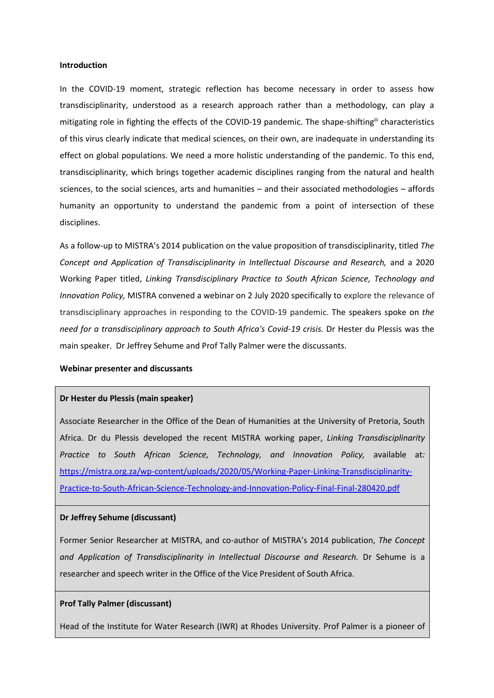### **Introduction**

In the COVID-19 moment, strategic reflection has become necessary in order to assess how transdisciplinarity, understood as a research approach rather than a methodology, can play a mitigating role in fighting the effects of the COVID-19 pandemic. The shape-shiftingii characteristics of this virus clearly indicate that medical sciences, on their own, are inadequate in understanding its effect on global populations. We need a more holistic understanding of the pandemic. To this end, transdisciplinarity, which brings together academic disciplines ranging from the natural and health sciences, to the social sciences, arts and humanities – and their associated methodologies – affords humanity an opportunity to understand the pandemic from a point of intersection of these disciplines.

As a follow-up to MISTRA's 2014 publication on the value proposition of transdisciplinarity, titled *The Concept and Application of Transdisciplinarity in Intellectual Discourse and Research,* and a 2020 Working Paper titled, *Linking Transdisciplinary Practice to South African Science, Technology and Innovation Policy,* MISTRA convened a webinar on 2 July 2020 specifically to explore the relevance of transdisciplinary approaches in responding to the COVID-19 pandemic. The speakers spoke on *the need for a transdisciplinary approach to South Africa's Covid-19 crisis.* Dr Hester du Plessis was the main speaker. Dr Jeffrey Sehume and Prof Tally Palmer were the discussants.

### **Webinar presenter and discussants**

### **Dr Hester du Plessis (main speaker)**

Associate Researcher in the Office of the Dean of Humanities at the University of Pretoria, South Africa. Dr du Plessis developed the recent MISTRA working paper, *Linking Transdisciplinarity Practice to South African Science, Technology, and Innovation Policy,* available at*:*  [https://mistra.org.za/wp-content/uploads/2020/05/Working-Paper-Linking-Transdisciplinarity-](https://mistra.org.za/wp-content/uploads/2020/05/Working-Paper-Linking-Transdisciplinarity-Practice-to-South-African-Science-Technology-and-Innovation-Policy-Final-Final-280420.pdf)[Practice-to-South-African-Science-Technology-and-Innovation-Policy-Final-Final-280420.pdf](https://mistra.org.za/wp-content/uploads/2020/05/Working-Paper-Linking-Transdisciplinarity-Practice-to-South-African-Science-Technology-and-Innovation-Policy-Final-Final-280420.pdf)

#### **Dr Jeffrey Sehume (discussant)**

Former Senior Researcher at MISTRA, and co-author of MISTRA's 2014 publication, *The Concept and Application of Transdisciplinarity in Intellectual Discourse and Research.* Dr Sehume is a researcher and speech writer in the Office of the Vice President of South Africa.

## **Prof Tally Palmer (discussant)**

Head of the Institute for Water Research (IWR) at Rhodes University. Prof Palmer is a pioneer of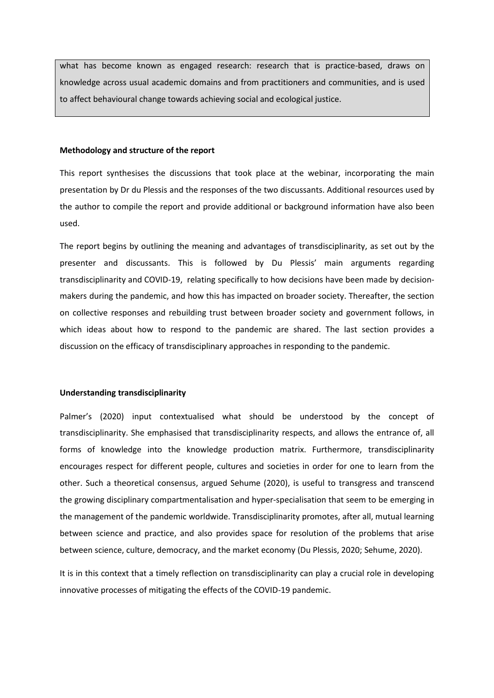what has become known as engaged research: research that is practice-based, draws on knowledge across usual academic domains and from practitioners and communities, and is used to affect behavioural change towards achieving social and ecological justice.

### **Methodology and structure of the report**

This report synthesises the discussions that took place at the webinar, incorporating the main presentation by Dr du Plessis and the responses of the two discussants. Additional resources used by the author to compile the report and provide additional or background information have also been used.

The report begins by outlining the meaning and advantages of transdisciplinarity, as set out by the presenter and discussants. This is followed by Du Plessis' main arguments regarding transdisciplinarity and COVID-19, relating specifically to how decisions have been made by decisionmakers during the pandemic, and how this has impacted on broader society. Thereafter, the section on collective responses and rebuilding trust between broader society and government follows, in which ideas about how to respond to the pandemic are shared. The last section provides a discussion on the efficacy of transdisciplinary approaches in responding to the pandemic.

#### **Understanding transdisciplinarity**

Palmer's (2020) input contextualised what should be understood by the concept of transdisciplinarity. She emphasised that transdisciplinarity respects, and allows the entrance of, all forms of knowledge into the knowledge production matrix. Furthermore, transdisciplinarity encourages respect for different people, cultures and societies in order for one to learn from the other. Such a theoretical consensus, argued Sehume (2020), is useful to transgress and transcend the growing disciplinary compartmentalisation and hyper-specialisation that seem to be emerging in the management of the pandemic worldwide. Transdisciplinarity promotes, after all, mutual learning between science and practice, and also provides space for resolution of the problems that arise between science, culture, democracy, and the market economy (Du Plessis, 2020; Sehume, 2020).

It is in this context that a timely reflection on transdisciplinarity can play a crucial role in developing innovative processes of mitigating the effects of the COVID-19 pandemic.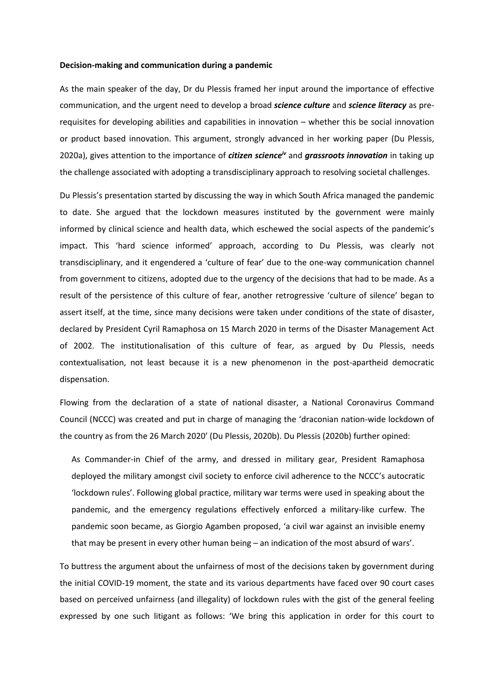### **Decision-making and communication during a pandemic**

As the main speaker of the day, Dr du Plessis framed her input around the importance of effective communication, and the urgent need to develop a broad *science culture* and *science literacy* as prerequisites for developing abilities and capabilities in innovation – whether this be social innovation or product based innovation. This argument, strongly advanced in her working paper (Du Plessis, 2020a), gives attention to the importance of *citizen scienceiv* and *grassroots innovation* in taking up the challenge associated with adopting a transdisciplinary approach to resolving societal challenges.

Du Plessis's presentation started by discussing the way in which South Africa managed the pandemic to date. She argued that the lockdown measures instituted by the government were mainly informed by clinical science and health data, which eschewed the social aspects of the pandemic's impact. This 'hard science informed' approach, according to Du Plessis, was clearly not transdisciplinary, and it engendered a 'culture of fear' due to the one-way communication channel from government to citizens, adopted due to the urgency of the decisions that had to be made. As a result of the persistence of this culture of fear, another retrogressive 'culture of silence' began to assert itself, at the time, since many decisions were taken under conditions of the state of disaster, declared by President Cyril Ramaphosa on 15 March 2020 in terms of the Disaster Management Act of 2002. The institutionalisation of this culture of fear, as argued by Du Plessis, needs contextualisation, not least because it is a new phenomenon in the post-apartheid democratic dispensation.

Flowing from the declaration of a state of national disaster, a National Coronavirus Command Council (NCCC) was created and put in charge of managing the 'draconian nation-wide lockdown of the country as from the 26 March 2020' (Du Plessis, 2020b). Du Plessis (2020b) further opined:

As Commander-in Chief of the army, and dressed in military gear, President Ramaphosa deployed the military amongst civil society to enforce civil adherence to the NCCC's autocratic 'lockdown rules'. Following global practice, military war terms were used in speaking about the pandemic, and the emergency regulations effectively enforced a military-like curfew. The pandemic soon became, as Giorgio Agamben proposed, 'a civil war against an invisible enemy that may be present in every other human being – an indication of the most absurd of wars'.

To buttress the argument about the unfairness of most of the decisions taken by government during the initial COVID-19 moment, the state and its various departments have faced over 90 court cases based on perceived unfairness (and illegality) of lockdown rules with the gist of the general feeling expressed by one such litigant as follows: 'We bring this application in order for this court to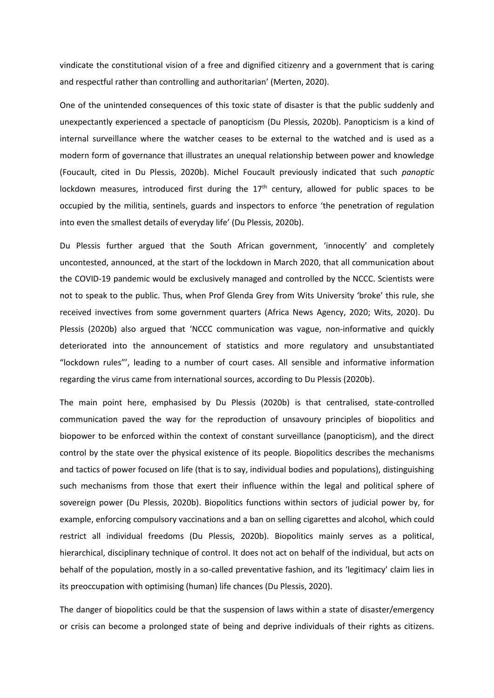vindicate the constitutional vision of a free and dignified citizenry and a government that is caring and respectful rather than controlling and authoritarian' (Merten, 2020).

One of the unintended consequences of this toxic state of disaster is that the public suddenly and unexpectantly experienced a spectacle of panopticism (Du Plessis, 2020b). Panopticism is a kind of internal surveillance where the watcher ceases to be external to the watched and is used as a modern form of governance that illustrates an unequal relationship between power and knowledge (Foucault, cited in Du Plessis, 2020b). Michel Foucault previously indicated that such *panoptic* lockdown measures, introduced first during the  $17<sup>th</sup>$  century, allowed for public spaces to be occupied by the militia, sentinels, guards and inspectors to enforce 'the penetration of regulation into even the smallest details of everyday life' (Du Plessis, 2020b).

Du Plessis further argued that the South African government, 'innocently' and completely uncontested, announced, at the start of the lockdown in March 2020, that all communication about the COVID-19 pandemic would be exclusively managed and controlled by the NCCC. Scientists were not to speak to the public. Thus, when Prof Glenda Grey from Wits University 'broke' this rule, she received invectives from some government quarters (Africa News Agency, 2020; Wits, 2020). Du Plessis (2020b) also argued that 'NCCC communication was vague, non-informative and quickly deteriorated into the announcement of statistics and more regulatory and unsubstantiated "lockdown rules"', leading to a number of court cases. All sensible and informative information regarding the virus came from international sources, according to Du Plessis (2020b).

The main point here, emphasised by Du Plessis (2020b) is that centralised, state-controlled communication paved the way for the reproduction of unsavoury principles of biopolitics and biopower to be enforced within the context of constant surveillance (panopticism), and the direct control by the state over the physical existence of its people. Biopolitics describes the mechanisms and tactics of power focused on life (that is to say, individual bodies and populations), distinguishing such mechanisms from those that exert their influence within the legal and political sphere of sovereign power (Du Plessis, 2020b). Biopolitics functions within sectors of judicial power by, for example, enforcing compulsory vaccinations and a ban on selling cigarettes and alcohol, which could restrict all individual freedoms (Du Plessis, 2020b). Biopolitics mainly serves as a political, hierarchical, disciplinary technique of control. It does not act on behalf of the individual, but acts on behalf of the population, mostly in a so-called preventative fashion, and its 'legitimacy' claim lies in its preoccupation with optimising (human) life chances (Du Plessis, 2020).

The danger of biopolitics could be that the suspension of laws within a state of disaster/emergency or crisis can become a prolonged state of being and deprive individuals of their rights as citizens.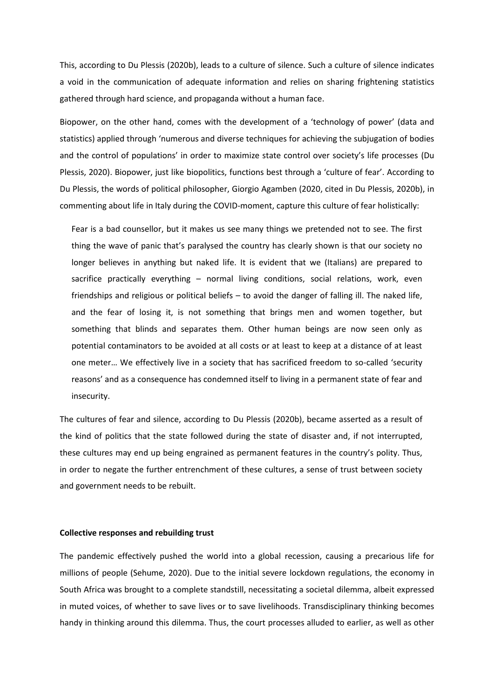This, according to Du Plessis (2020b), leads to a culture of silence. Such a culture of silence indicates a void in the communication of adequate information and relies on sharing frightening statistics gathered through hard science, and propaganda without a human face.

Biopower, on the other hand, comes with the development of a 'technology of power' (data and statistics) applied through 'numerous and diverse techniques for achieving the subjugation of bodies and the control of populations' in order to maximize state control over society's life processes (Du Plessis, 2020). Biopower, just like biopolitics, functions best through a 'culture of fear'. According to Du Plessis, the words of political philosopher, Giorgio Agamben (2020, cited in Du Plessis, 2020b), in commenting about life in Italy during the COVID-moment, capture this culture of fear holistically:

Fear is a bad counsellor, but it makes us see many things we pretended not to see. The first thing the wave of panic that's paralysed the country has clearly shown is that our society no longer believes in anything but naked life. It is evident that we (Italians) are prepared to sacrifice practically everything – normal living conditions, social relations, work, even friendships and religious or political beliefs – to avoid the danger of falling ill. The naked life, and the fear of losing it, is not something that brings men and women together, but something that blinds and separates them. Other human beings are now seen only as potential contaminators to be avoided at all costs or at least to keep at a distance of at least one meter… We effectively live in a society that has sacrificed freedom to so-called 'security reasons' and as a consequence has condemned itself to living in a permanent state of fear and insecurity.

The cultures of fear and silence, according to Du Plessis (2020b), became asserted as a result of the kind of politics that the state followed during the state of disaster and, if not interrupted, these cultures may end up being engrained as permanent features in the country's polity. Thus, in order to negate the further entrenchment of these cultures, a sense of trust between society and government needs to be rebuilt.

## **Collective responses and rebuilding trust**

The pandemic effectively pushed the world into a global recession, causing a precarious life for millions of people (Sehume, 2020). Due to the initial severe lockdown regulations, the economy in South Africa was brought to a complete standstill, necessitating a societal dilemma, albeit expressed in muted voices, of whether to save lives or to save livelihoods. Transdisciplinary thinking becomes handy in thinking around this dilemma. Thus, the court processes alluded to earlier, as well as other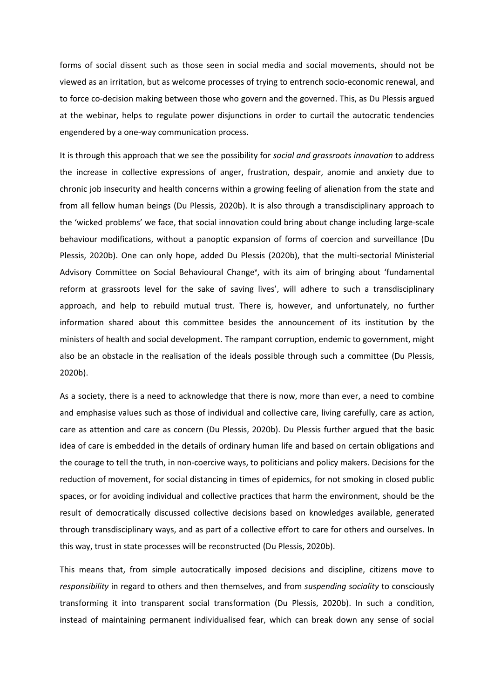forms of social dissent such as those seen in social media and social movements, should not be viewed as an irritation, but as welcome processes of trying to entrench socio-economic renewal, and to force co-decision making between those who govern and the governed. This, as Du Plessis argued at the webinar, helps to regulate power disjunctions in order to curtail the autocratic tendencies engendered by a one-way communication process.

It is through this approach that we see the possibility for *social and grassroots innovation* to address the increase in collective expressions of anger, frustration, despair, anomie and anxiety due to chronic job insecurity and health concerns within a growing feeling of alienation from the state and from all fellow human beings (Du Plessis, 2020b). It is also through a transdisciplinary approach to the 'wicked problems' we face, that social innovation could bring about change including large-scale behaviour modifications, without a panoptic expansion of forms of coercion and surveillance (Du Plessis, 2020b). One can only hope, added Du Plessis (2020b), that the multi-sectorial Ministerial Advisory Committee on Social Behavioural Change<sup>v</sup>, with its aim of bringing about 'fundamental reform at grassroots level for the sake of saving lives', will adhere to such a transdisciplinary approach, and help to rebuild mutual trust. There is, however, and unfortunately, no further information shared about this committee besides the announcement of its institution by the ministers of health and social development. The rampant corruption, endemic to government, might also be an obstacle in the realisation of the ideals possible through such a committee (Du Plessis, 2020b).

As a society, there is a need to acknowledge that there is now, more than ever, a need to combine and emphasise values such as those of individual and collective care, living carefully, care as action, care as attention and care as concern (Du Plessis, 2020b). Du Plessis further argued that the basic idea of care is embedded in the details of ordinary human life and based on certain obligations and the courage to tell the truth, in non-coercive ways, to politicians and policy makers. Decisions for the reduction of movement, for social distancing in times of epidemics, for not smoking in closed public spaces, or for avoiding individual and collective practices that harm the environment, should be the result of democratically discussed collective decisions based on knowledges available, generated through transdisciplinary ways, and as part of a collective effort to care for others and ourselves. In this way, trust in state processes will be reconstructed (Du Plessis, 2020b).

This means that, from simple autocratically imposed decisions and discipline, citizens move to *responsibility* in regard to others and then themselves, and from *suspending sociality* to consciously transforming it into transparent social transformation (Du Plessis, 2020b). In such a condition, instead of maintaining permanent individualised fear, which can break down any sense of social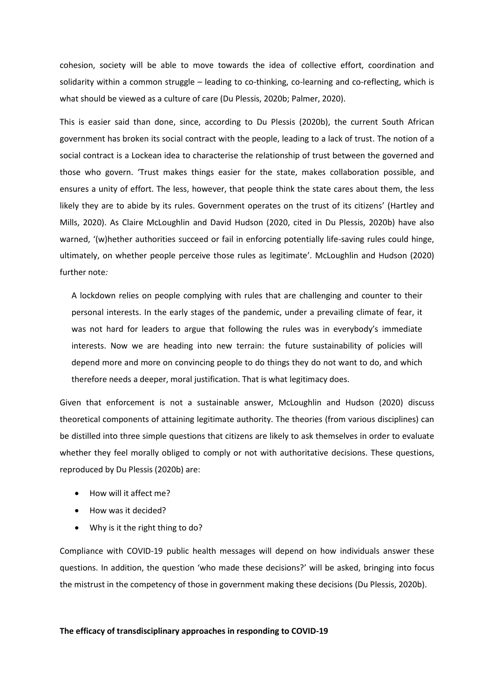cohesion, society will be able to move towards the idea of collective effort, coordination and solidarity within a common struggle – leading to co-thinking, co-learning and co-reflecting, which is what should be viewed as a culture of care (Du Plessis, 2020b; Palmer, 2020).

This is easier said than done, since, according to Du Plessis (2020b), the current South African government has broken its social contract with the people, leading to a lack of trust. The notion of a social contract is a Lockean idea to characterise the relationship of trust between the governed and those who govern. 'Trust makes things easier for the state, makes collaboration possible, and ensures a unity of effort. The less, however, that people think the state cares about them, the less likely they are to abide by its rules. Government operates on the trust of its citizens' (Hartley and Mills, 2020). As Claire McLoughlin and David Hudson (2020, cited in Du Plessis, 2020b) have also warned, '(w)hether authorities succeed or fail in enforcing potentially life-saving rules could hinge, ultimately, on whether people perceive those rules as legitimate'. McLoughlin and Hudson (2020) further note*:* 

A lockdown relies on people complying with rules that are challenging and counter to their personal interests. In the early stages of the pandemic, under a prevailing climate of fear, it was not hard for leaders to argue that following the rules was in everybody's immediate interests. Now we are heading into new terrain: the future sustainability of policies will depend more and more on convincing people to do things they do not want to do, and which therefore needs a deeper, moral justification. That is what legitimacy does.

Given that enforcement is not a sustainable answer, McLoughlin and Hudson (2020) discuss theoretical components of attaining legitimate authority. The theories (from various disciplines) can be distilled into three simple questions that citizens are likely to ask themselves in order to evaluate whether they feel morally obliged to comply or not with authoritative decisions. These questions, reproduced by Du Plessis (2020b) are:

- How will it affect me?
- How was it decided?
- Why is it the right thing to do?

Compliance with COVID-19 public health messages will depend on how individuals answer these questions. In addition, the question 'who made these decisions?' will be asked, bringing into focus the mistrust in the competency of those in government making these decisions (Du Plessis, 2020b).

## **The efficacy of transdisciplinary approaches in responding to COVID-19**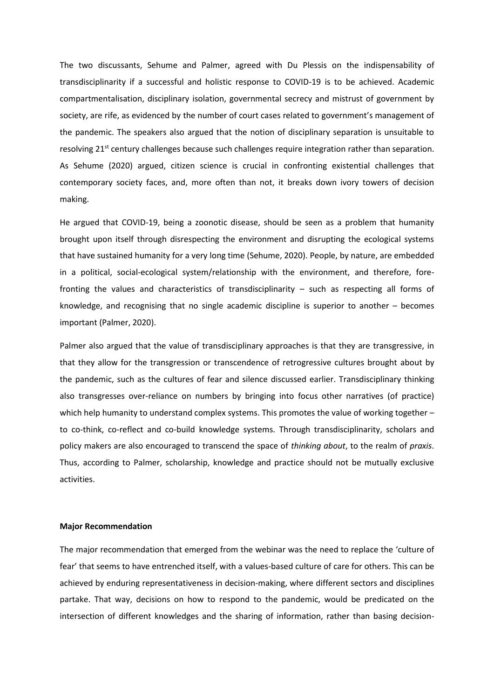The two discussants, Sehume and Palmer, agreed with Du Plessis on the indispensability of transdisciplinarity if a successful and holistic response to COVID-19 is to be achieved. Academic compartmentalisation, disciplinary isolation, governmental secrecy and mistrust of government by society, are rife, as evidenced by the number of court cases related to government's management of the pandemic. The speakers also argued that the notion of disciplinary separation is unsuitable to resolving 21<sup>st</sup> century challenges because such challenges require integration rather than separation. As Sehume (2020) argued, citizen science is crucial in confronting existential challenges that contemporary society faces, and, more often than not, it breaks down ivory towers of decision making.

He argued that COVID-19, being a zoonotic disease, should be seen as a problem that humanity brought upon itself through disrespecting the environment and disrupting the ecological systems that have sustained humanity for a very long time (Sehume, 2020). People, by nature, are embedded in a political, social-ecological system/relationship with the environment, and therefore, forefronting the values and characteristics of transdisciplinarity – such as respecting all forms of knowledge, and recognising that no single academic discipline is superior to another – becomes important (Palmer, 2020).

Palmer also argued that the value of transdisciplinary approaches is that they are transgressive, in that they allow for the transgression or transcendence of retrogressive cultures brought about by the pandemic, such as the cultures of fear and silence discussed earlier. Transdisciplinary thinking also transgresses over-reliance on numbers by bringing into focus other narratives (of practice) which help humanity to understand complex systems. This promotes the value of working together – to co-think, co-reflect and co-build knowledge systems. Through transdisciplinarity, scholars and policy makers are also encouraged to transcend the space of *thinking about*, to the realm of *praxis*. Thus, according to Palmer, scholarship, knowledge and practice should not be mutually exclusive activities.

## **Major Recommendation**

The major recommendation that emerged from the webinar was the need to replace the 'culture of fear' that seems to have entrenched itself, with a values-based culture of care for others. This can be achieved by enduring representativeness in decision-making, where different sectors and disciplines partake. That way, decisions on how to respond to the pandemic, would be predicated on the intersection of different knowledges and the sharing of information, rather than basing decision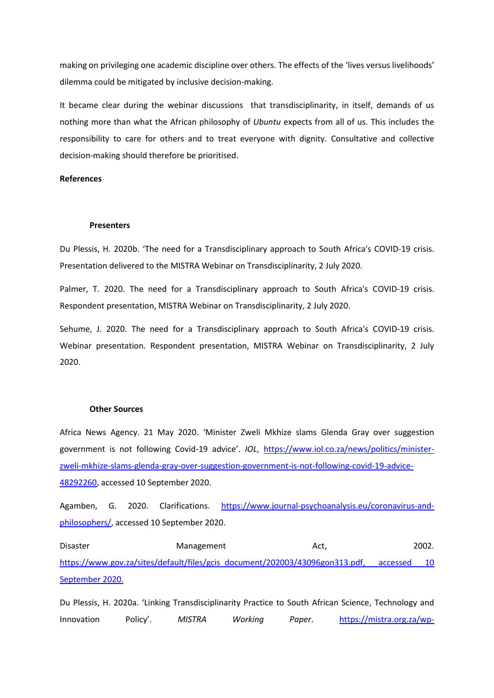making on privileging one academic discipline over others. The effects of the 'lives versus livelihoods' dilemma could be mitigated by inclusive decision-making.

It became clear during the webinar discussions that transdisciplinarity, in itself, demands of us nothing more than what the African philosophy of *Ubuntu* expects from all of us. This includes the responsibility to care for others and to treat everyone with dignity. Consultative and collective decision-making should therefore be prioritised.

## **References**

### **Presenters**

Du Plessis, H. 2020b. 'The need for a Transdisciplinary approach to South Africa's COVID-19 crisis. Presentation delivered to the MISTRA Webinar on Transdisciplinarity, 2 July 2020.

Palmer, T. 2020. The need for a Transdisciplinary approach to South Africa's COVID-19 crisis. Respondent presentation, MISTRA Webinar on Transdisciplinarity, 2 July 2020.

Sehume, J. 2020. The need for a Transdisciplinary approach to South Africa's COVID-19 crisis. Webinar presentation. Respondent presentation, MISTRA Webinar on Transdisciplinarity, 2 July 2020.

#### **Other Sources**

Africa News Agency. 21 May 2020. 'Minister Zweli Mkhize slams Glenda Gray over suggestion government is not following Covid-19 advice'. *IOL*, [https://www.iol.co.za/news/politics/minister](https://www.iol.co.za/news/politics/minister-zweli-mkhize-slams-glenda-gray-over-suggestion-government-is-not-following-covid-19-advice-48292260)[zweli-mkhize-slams-glenda-gray-over-suggestion-government-is-not-following-covid-19-advice-](https://www.iol.co.za/news/politics/minister-zweli-mkhize-slams-glenda-gray-over-suggestion-government-is-not-following-covid-19-advice-48292260)[48292260,](https://www.iol.co.za/news/politics/minister-zweli-mkhize-slams-glenda-gray-over-suggestion-government-is-not-following-covid-19-advice-48292260) accessed 10 September 2020.

Agamben, G. 2020. Clarifications. [https://www.journal-psychoanalysis.eu/coronavirus-and](https://www.journal-psychoanalysis.eu/coronavirus-and-philosophers/)[philosophers/,](https://www.journal-psychoanalysis.eu/coronavirus-and-philosophers/) accessed 10 September 2020.

Disaster Management Act, 2002. [https://www.gov.za/sites/default/files/gcis\\_document/202003/43096gon313.pdf,](https://www.gov.za/sites/default/files/gcis_document/202003/43096gon313.pdf) accessed 10 September 2020.

Du Plessis, H. 2020a. 'Linking Transdisciplinarity Practice to South African Science, Technology and Innovation Policy'. *MISTRA Working Paper*. [https://mistra.org.za/wp-](https://mistra.org.za/wp-content/uploads/2020/05/Working-Paper-Linking-Transdisciplinarity-Practice-to-South-African-Science-Technology-and-Innovation-Policy-Final-Final-280420.pdf)